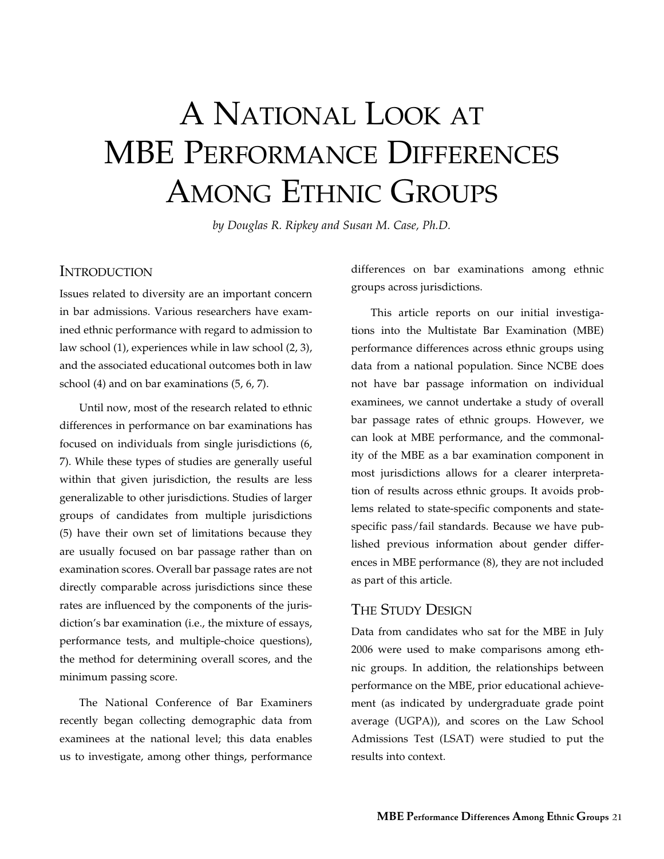# A National Look at MBE Performance Differences Among Ethnic Groups

*by Douglas R. Ripkey and Susan M. Case, Ph.D.*

## Introduction

Issues related to diversity are an important concern in bar admissions. Various researchers have examined ethnic performance with regard to admission to law school (1), experiences while in law school (2, 3), and the associated educational outcomes both in law school (4) and on bar examinations (5, 6, 7).

Until now, most of the research related to ethnic differences in performance on bar examinations has focused on individuals from single jurisdictions (6, 7). While these types of studies are generally useful within that given jurisdiction, the results are less generalizable to other jurisdictions. Studies of larger groups of candidates from multiple jurisdictions (5) have their own set of limitations because they are usually focused on bar passage rather than on examination scores. Overall bar passage rates are not directly comparable across jurisdictions since these rates are influenced by the components of the jurisdiction's bar examination (i.e., the mixture of essays, performance tests, and multiple-choice questions), the method for determining overall scores, and the minimum passing score.

The National Conference of Bar Examiners recently began collecting demographic data from examinees at the national level; this data enables us to investigate, among other things, performance differences on bar examinations among ethnic groups across jurisdictions.

This article reports on our initial investigations into the Multistate Bar Examination (MBE) performance differences across ethnic groups using data from a national population. Since NCBE does not have bar passage information on individual examinees, we cannot undertake a study of overall bar passage rates of ethnic groups. However, we can look at MBE performance, and the commonality of the MBE as a bar examination component in most jurisdictions allows for a clearer interpretation of results across ethnic groups. It avoids problems related to state-specific components and statespecific pass/fail standards. Because we have published previous information about gender differences in MBE performance (8), they are not included as part of this article.

# The Study Design

Data from candidates who sat for the MBE in July 2006 were used to make comparisons among ethnic groups. In addition, the relationships between performance on the MBE, prior educational achievement (as indicated by undergraduate grade point average (UGPA)), and scores on the Law School Admissions Test (LSAT) were studied to put the results into context.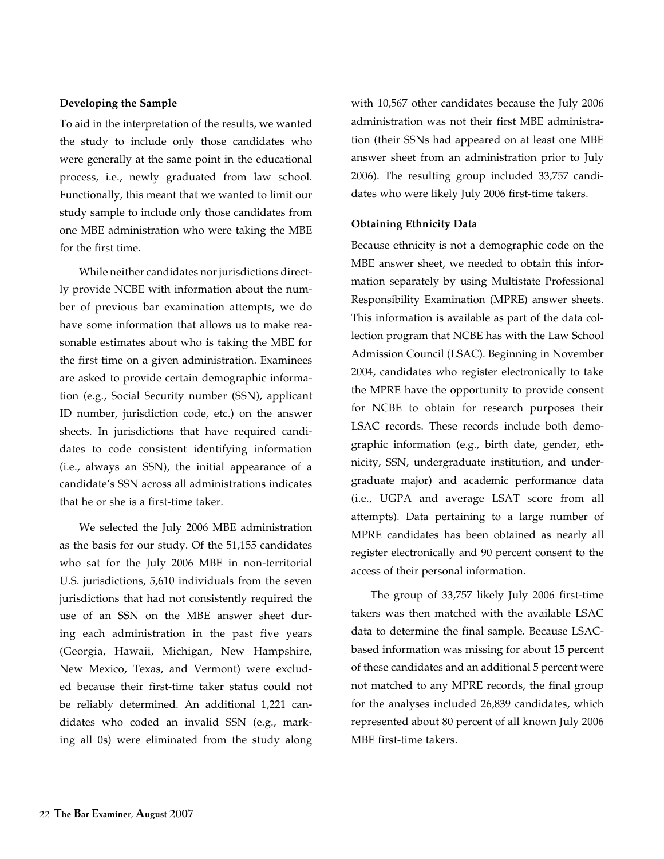### **Developing the Sample**

To aid in the interpretation of the results, we wanted the study to include only those candidates who were generally at the same point in the educational process, i.e., newly graduated from law school. Functionally, this meant that we wanted to limit our study sample to include only those candidates from one MBE administration who were taking the MBE for the first time.

While neither candidates nor jurisdictions directly provide NCBE with information about the number of previous bar examination attempts, we do have some information that allows us to make reasonable estimates about who is taking the MBE for the first time on a given administration. Examinees are asked to provide certain demographic information (e.g., Social Security number (SSN), applicant ID number, jurisdiction code, etc.) on the answer sheets. In jurisdictions that have required candidates to code consistent identifying information (i.e., always an SSN), the initial appearance of a candidate's SSN across all administrations indicates that he or she is a first-time taker.

We selected the July 2006 MBE administration as the basis for our study. Of the 51,155 candidates who sat for the July 2006 MBE in non-territorial U.S. jurisdictions, 5,610 individuals from the seven jurisdictions that had not consistently required the use of an SSN on the MBE answer sheet during each administration in the past five years (Georgia, Hawaii, Michigan, New Hampshire, New Mexico, Texas, and Vermont) were excluded because their first-time taker status could not be reliably determined. An additional 1,221 candidates who coded an invalid SSN (e.g., marking all 0s) were eliminated from the study along with 10,567 other candidates because the July 2006 administration was not their first MBE administration (their SSNs had appeared on at least one MBE answer sheet from an administration prior to July 2006). The resulting group included 33,757 candidates who were likely July 2006 first-time takers.

#### **Obtaining Ethnicity Data**

Because ethnicity is not a demographic code on the MBE answer sheet, we needed to obtain this information separately by using Multistate Professional Responsibility Examination (MPRE) answer sheets. This information is available as part of the data collection program that NCBE has with the Law School Admission Council (LSAC). Beginning in November 2004, candidates who register electronically to take the MPRE have the opportunity to provide consent for NCBE to obtain for research purposes their LSAC records. These records include both demographic information (e.g., birth date, gender, ethnicity, SSN, undergraduate institution, and undergraduate major) and academic performance data (i.e., UGPA and average LSAT score from all attempts). Data pertaining to a large number of MPRE candidates has been obtained as nearly all register electronically and 90 percent consent to the access of their personal information.

The group of 33,757 likely July 2006 first-time takers was then matched with the available LSAC data to determine the final sample. Because LSACbased information was missing for about 15 percent of these candidates and an additional 5 percent were not matched to any MPRE records, the final group for the analyses included 26,839 candidates, which represented about 80 percent of all known July 2006 MBE first-time takers.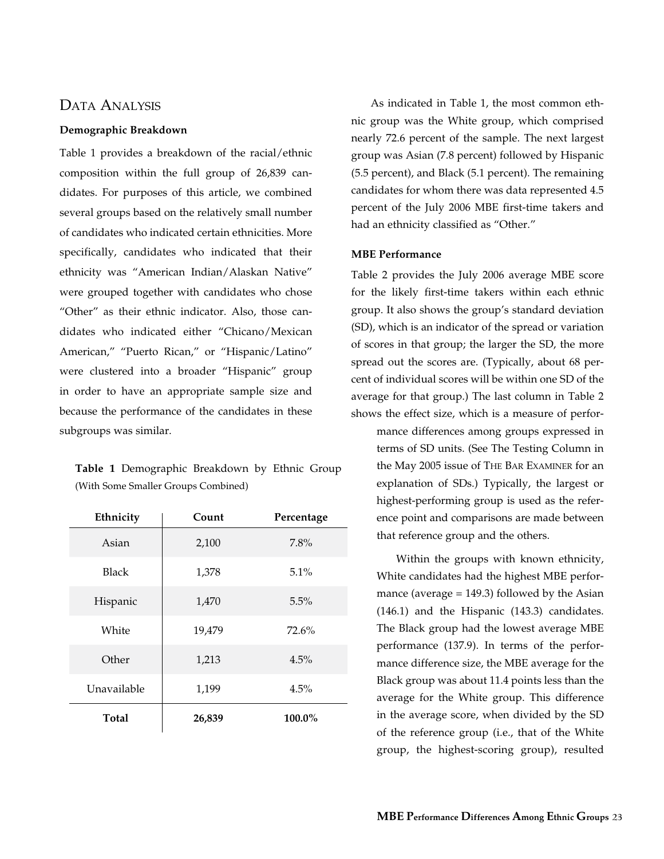## Data Analysis

#### **Demographic Breakdown**

Table 1 provides a breakdown of the racial/ethnic composition within the full group of 26,839 candidates. For purposes of this article, we combined several groups based on the relatively small number of candidates who indicated certain ethnicities. More specifically, candidates who indicated that their ethnicity was "American Indian/Alaskan Native" were grouped together with candidates who chose "Other" as their ethnic indicator. Also, those candidates who indicated either "Chicano/Mexican American," "Puerto Rican," or "Hispanic/Latino" were clustered into a broader "Hispanic" group in order to have an appropriate sample size and because the performance of the candidates in these subgroups was similar.

**Table 1** Demographic Breakdown by Ethnic Group (With Some Smaller Groups Combined)

| Ethnicity    | Count  | Percentage |
|--------------|--------|------------|
| Asian        | 2,100  | 7.8%       |
| <b>Black</b> | 1,378  | $5.1\%$    |
| Hispanic     | 1,470  | 5.5%       |
| White        | 19,479 | 72.6%      |
| Other        | 1,213  | 4.5%       |
| Unavailable  | 1,199  | 4.5%       |
| Total        | 26,839 | 100.0%     |

As indicated in Table 1, the most common ethnic group was the White group, which comprised nearly 72.6 percent of the sample. The next largest group was Asian (7.8 percent) followed by Hispanic (5.5 percent), and Black (5.1 percent). The remaining candidates for whom there was data represented 4.5 percent of the July 2006 MBE first-time takers and had an ethnicity classified as "Other."

## **MBE Performance**

Table 2 provides the July 2006 average MBE score for the likely first-time takers within each ethnic group. It also shows the group's standard deviation (SD), which is an indicator of the spread or variation of scores in that group; the larger the SD, the more spread out the scores are. (Typically, about 68 percent of individual scores will be within one SD of the average for that group.) The last column in Table 2 shows the effect size, which is a measure of performance differences among groups expressed in terms of SD units. (See The Testing Column in

the May 2005 issue of The Bar Examiner for an explanation of SDs.) Typically, the largest or highest-performing group is used as the reference point and comparisons are made between that reference group and the others.

Within the groups with known ethnicity, White candidates had the highest MBE performance (average  $= 149.3$ ) followed by the Asian (146.1) and the Hispanic (143.3) candidates. The Black group had the lowest average MBE performance (137.9). In terms of the performance difference size, the MBE average for the Black group was about 11.4 points less than the average for the White group. This difference in the average score, when divided by the SD of the reference group (i.e., that of the White group, the highest-scoring group), resulted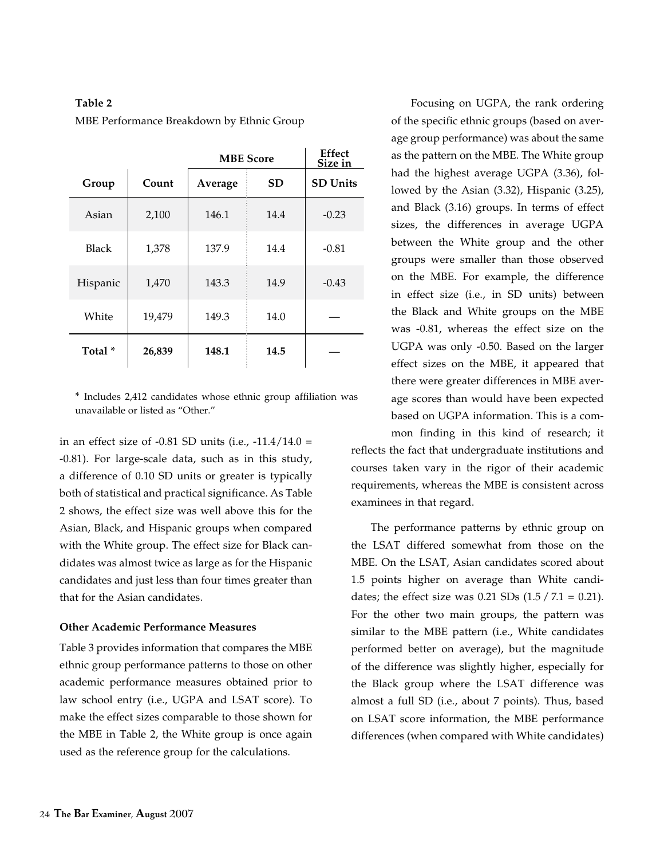## **Table 2**

MBE Performance Breakdown by Ethnic Group

|                    |        | <b>MBE</b> Score | Effect<br>Size in |                 |
|--------------------|--------|------------------|-------------------|-----------------|
| Group              | Count  | Average          | <b>SD</b>         | <b>SD Units</b> |
| Asian              | 2,100  | 146.1            | 14.4              | $-0.23$         |
| <b>Black</b>       | 1,378  | 137.9            | 14.4              | $-0.81$         |
| Hispanic           | 1,470  | 143.3            | 14.9              | $-0.43$         |
| White              | 19,479 | 149.3            | 14.0              |                 |
| Total <sup>*</sup> | 26,839 | 148.1            | 14.5              |                 |

\* Includes 2,412 candidates whose ethnic group affiliation was unavailable or listed as "Other."

in an effect size of -0.81 SD units (i.e.,  $-11.4/14.0 =$ -0.81). For large-scale data, such as in this study, a difference of 0.10 SD units or greater is typically both of statistical and practical significance. As Table 2 shows, the effect size was well above this for the Asian, Black, and Hispanic groups when compared with the White group. The effect size for Black candidates was almost twice as large as for the Hispanic candidates and just less than four times greater than that for the Asian candidates.

#### **Other Academic Performance Measures**

Table 3 provides information that compares the MBE ethnic group performance patterns to those on other academic performance measures obtained prior to law school entry (i.e., UGPA and LSAT score). To make the effect sizes comparable to those shown for the MBE in Table 2, the White group is once again used as the reference group for the calculations.

Focusing on UGPA, the rank ordering of the specific ethnic groups (based on average group performance) was about the same as the pattern on the MBE. The White group had the highest average UGPA (3.36), followed by the Asian (3.32), Hispanic (3.25), and Black (3.16) groups. In terms of effect sizes, the differences in average UGPA between the White group and the other groups were smaller than those observed on the MBE. For example, the difference in effect size (i.e., in SD units) between the Black and White groups on the MBE was -0.81, whereas the effect size on the UGPA was only -0.50. Based on the larger effect sizes on the MBE, it appeared that there were greater differences in MBE average scores than would have been expected based on UGPA information. This is a common finding in this kind of research; it

reflects the fact that undergraduate institutions and courses taken vary in the rigor of their academic requirements, whereas the MBE is consistent across examinees in that regard.

The performance patterns by ethnic group on the LSAT differed somewhat from those on the MBE. On the LSAT, Asian candidates scored about 1.5 points higher on average than White candidates; the effect size was  $0.21$  SDs  $(1.5 / 7.1 = 0.21)$ . For the other two main groups, the pattern was similar to the MBE pattern (i.e., White candidates performed better on average), but the magnitude of the difference was slightly higher, especially for the Black group where the LSAT difference was almost a full SD (i.e., about 7 points). Thus, based on LSAT score information, the MBE performance differences (when compared with White candidates)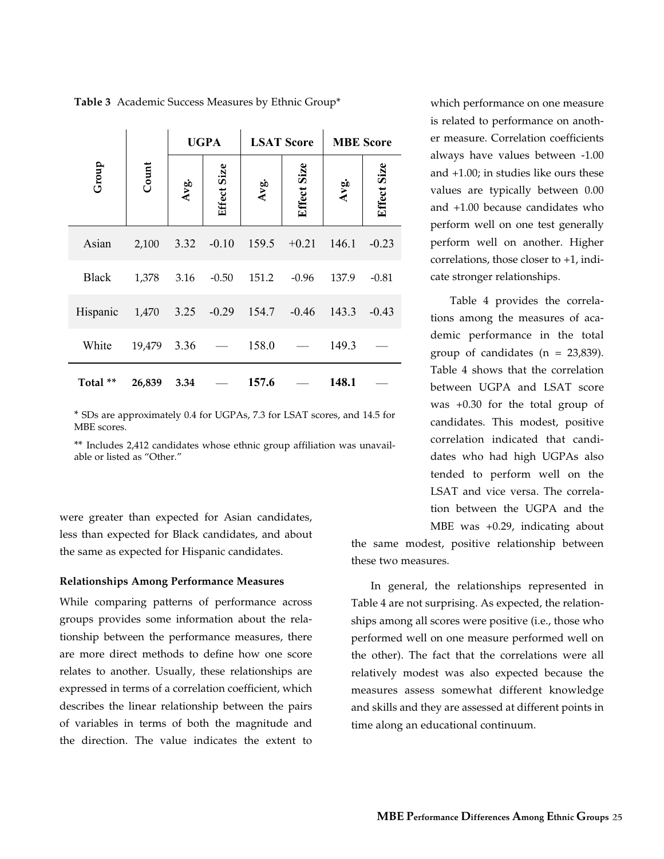|              |            |      | <b>UGPA</b>              |       | <b>LSAT Score</b> |       | <b>MBE</b> Score |  |
|--------------|------------|------|--------------------------|-------|-------------------|-------|------------------|--|
| Group        | Count      | Avg. | Effect Size              | Avg.  | Effect Size       | Avg.  | Effect Size      |  |
| Asian        | 2,100      | 3.32 | $-0.10$                  | 159.5 | $+0.21$           | 146.1 | $-0.23$          |  |
| <b>Black</b> | 1,378      | 3.16 | $-0.50$                  | 151.2 | $-0.96$           | 137.9 | $-0.81$          |  |
| Hispanic     | 1,470 3.25 |      | $-0.29$                  | 154.7 | $-0.46$           | 143.3 | $-0.43$          |  |
| White        | 19,479     | 3.36 | $\overline{\phantom{m}}$ | 158.0 |                   | 149.3 |                  |  |
| Total **     | 26,839     | 3.34 |                          | 157.6 |                   | 148.1 |                  |  |

**Table 3** Academic Success Measures by Ethnic Group\*

\* SDs are approximately 0.4 for UGPAs, 7.3 for LSAT scores, and 14.5 for MBE scores.

\*\* Includes 2,412 candidates whose ethnic group affiliation was unavailable or listed as "Other."

were greater than expected for Asian candidates, less than expected for Black candidates, and about the same as expected for Hispanic candidates.

#### **Relationships Among Performance Measures**

While comparing patterns of performance across groups provides some information about the relationship between the performance measures, there are more direct methods to define how one score relates to another. Usually, these relationships are expressed in terms of a correlation coefficient, which describes the linear relationship between the pairs of variables in terms of both the magnitude and the direction. The value indicates the extent to

which performance on one measure is related to performance on another measure. Correlation coefficients always have values between -1.00 and +1.00; in studies like ours these values are typically between 0.00 and +1.00 because candidates who perform well on one test generally perform well on another. Higher correlations, those closer to +1, indicate stronger relationships.

Table 4 provides the correlations among the measures of academic performance in the total group of candidates  $(n = 23,839)$ . Table 4 shows that the correlation between UGPA and LSAT score was +0.30 for the total group of candidates. This modest, positive correlation indicated that candidates who had high UGPAs also tended to perform well on the LSAT and vice versa. The correlation between the UGPA and the MBE was +0.29, indicating about

the same modest, positive relationship between these two measures.

In general, the relationships represented in Table 4 are not surprising. As expected, the relationships among all scores were positive (i.e., those who performed well on one measure performed well on the other). The fact that the correlations were all relatively modest was also expected because the measures assess somewhat different knowledge and skills and they are assessed at different points in time along an educational continuum.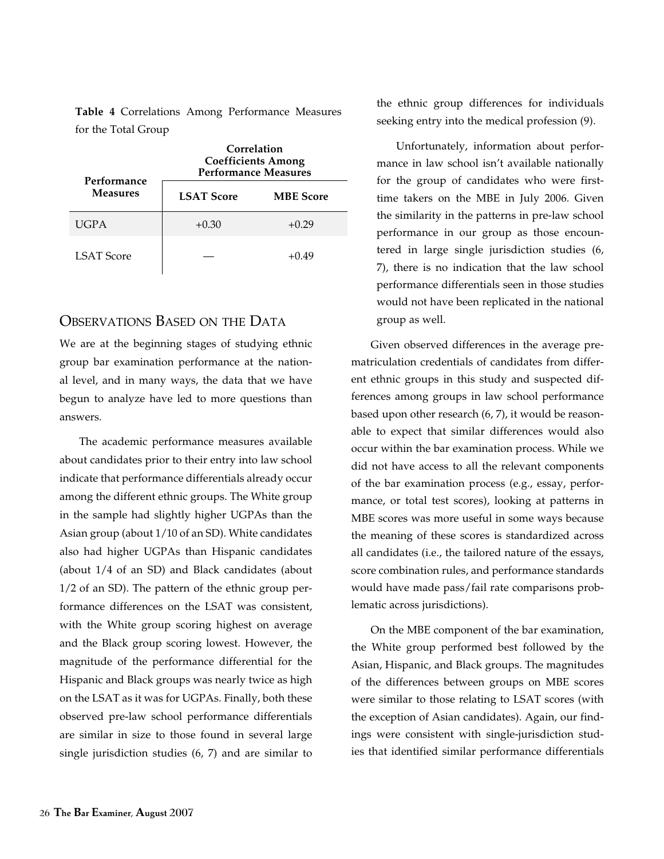**Table 4** Correlations Among Performance Measures for the Total Group

| Performance       | Correlation<br><b>Coefficients Among</b><br><b>Performance Measures</b> |                  |  |
|-------------------|-------------------------------------------------------------------------|------------------|--|
| <b>Measures</b>   | <b>LSAT Score</b>                                                       | <b>MBE</b> Score |  |
| <b>UGPA</b>       | $+0.30$                                                                 | $+0.29$          |  |
| <b>LSAT Score</b> |                                                                         | +0.49            |  |

# Observations Based on the Data

We are at the beginning stages of studying ethnic group bar examination performance at the national level, and in many ways, the data that we have begun to analyze have led to more questions than answers.

The academic performance measures available about candidates prior to their entry into law school indicate that performance differentials already occur among the different ethnic groups. The White group in the sample had slightly higher UGPAs than the Asian group (about 1/10 of an SD). White candidates also had higher UGPAs than Hispanic candidates (about 1/4 of an SD) and Black candidates (about 1/2 of an SD). The pattern of the ethnic group performance differences on the LSAT was consistent, with the White group scoring highest on average and the Black group scoring lowest. However, the magnitude of the performance differential for the Hispanic and Black groups was nearly twice as high on the LSAT as it was for UGPAs. Finally, both these observed pre-law school performance differentials are similar in size to those found in several large single jurisdiction studies (6, 7) and are similar to

the ethnic group differences for individuals seeking entry into the medical profession (9).

Unfortunately, information about performance in law school isn't available nationally for the group of candidates who were firsttime takers on the MBE in July 2006. Given the similarity in the patterns in pre-law school performance in our group as those encountered in large single jurisdiction studies (6, 7), there is no indication that the law school performance differentials seen in those studies would not have been replicated in the national group as well.

Given observed differences in the average prematriculation credentials of candidates from different ethnic groups in this study and suspected differences among groups in law school performance based upon other research (6, 7), it would be reasonable to expect that similar differences would also occur within the bar examination process. While we did not have access to all the relevant components of the bar examination process (e.g., essay, performance, or total test scores), looking at patterns in MBE scores was more useful in some ways because the meaning of these scores is standardized across all candidates (i.e., the tailored nature of the essays, score combination rules, and performance standards would have made pass/fail rate comparisons problematic across jurisdictions).

On the MBE component of the bar examination, the White group performed best followed by the Asian, Hispanic, and Black groups. The magnitudes of the differences between groups on MBE scores were similar to those relating to LSAT scores (with the exception of Asian candidates). Again, our findings were consistent with single-jurisdiction studies that identified similar performance differentials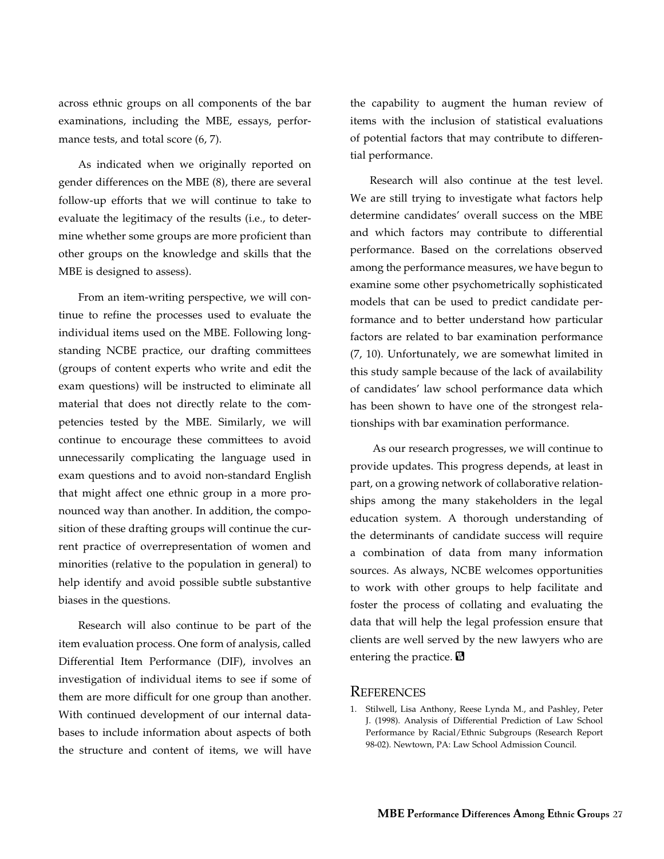across ethnic groups on all components of the bar examinations, including the MBE, essays, performance tests, and total score  $(6, 7)$ .

As indicated when we originally reported on gender differences on the MBE (8), there are several follow-up efforts that we will continue to take to evaluate the legitimacy of the results (i.e., to determine whether some groups are more proficient than other groups on the knowledge and skills that the MBE is designed to assess).

From an item-writing perspective, we will continue to refine the processes used to evaluate the individual items used on the MBE. Following longstanding NCBE practice, our drafting committees (groups of content experts who write and edit the exam questions) will be instructed to eliminate all material that does not directly relate to the competencies tested by the MBE. Similarly, we will continue to encourage these committees to avoid unnecessarily complicating the language used in exam questions and to avoid non-standard English that might affect one ethnic group in a more pronounced way than another. In addition, the composition of these drafting groups will continue the current practice of overrepresentation of women and minorities (relative to the population in general) to help identify and avoid possible subtle substantive biases in the questions.

Research will also continue to be part of the item evaluation process. One form of analysis, called Differential Item Performance (DIF), involves an investigation of individual items to see if some of them are more difficult for one group than another. With continued development of our internal databases to include information about aspects of both the structure and content of items, we will have the capability to augment the human review of items with the inclusion of statistical evaluations of potential factors that may contribute to differential performance.

Research will also continue at the test level. We are still trying to investigate what factors help determine candidates' overall success on the MBE and which factors may contribute to differential performance. Based on the correlations observed among the performance measures, we have begun to examine some other psychometrically sophisticated models that can be used to predict candidate performance and to better understand how particular factors are related to bar examination performance (7, 10). Unfortunately, we are somewhat limited in this study sample because of the lack of availability of candidates' law school performance data which has been shown to have one of the strongest relationships with bar examination performance.

 As our research progresses, we will continue to provide updates. This progress depends, at least in part, on a growing network of collaborative relationships among the many stakeholders in the legal education system. A thorough understanding of the determinants of candidate success will require a combination of data from many information sources. As always, NCBE welcomes opportunities to work with other groups to help facilitate and foster the process of collating and evaluating the data that will help the legal profession ensure that clients are well served by the new lawyers who are entering the practice.

## **REFERENCES**

1. Stilwell, Lisa Anthony, Reese Lynda M., and Pashley, Peter J. (1998). Analysis of Differential Prediction of Law School Performance by Racial/Ethnic Subgroups (Research Report 98-02). Newtown, PA: Law School Admission Council.